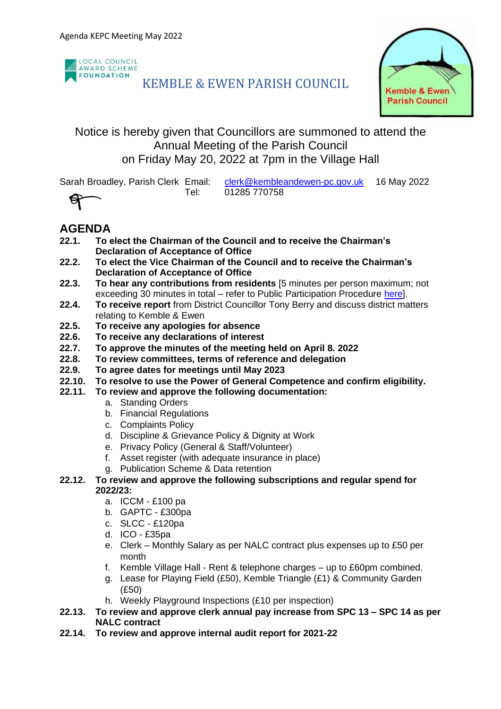

# KEMBLE & EWEN PARISH COUNCIL



## Notice is hereby given that Councillors are summoned to attend the Annual Meeting of the Parish Council on Friday May 20, 2022 at 7pm in the Village Hall

Sarah Broadley, Parish Clerk Email: [clerk@kembleandewen-pc.gov.uk](mailto:clerk@kembleandewen-pc.gov.uk) 16 May 2022 Tel: 01285 770758

U

# **AGENDA**

- **22.1. To elect the Chairman of the Council and to receive the Chairman's Declaration of Acceptance of Office**
- **22.2. To elect the Vice Chairman of the Council and to receive the Chairman's Declaration of Acceptance of Office**
- **22.3. To hear any contributions from residents** [5 minutes per person maximum; not exceeding 30 minutes in total – refer to Public Participation Procedure [here\]](https://kembleandewen-pc.gov.uk/wp-content/uploads/2021/02/Public-Participation-at-Parish-Council-Meetings.pdf).
- **22.4. To receive report** from District Councillor Tony Berry and discuss district matters relating to Kemble & Ewen
- **22.5. To receive any apologies for absence**
- **22.6. To receive any declarations of interest**
- **22.7. To approve the minutes of the meeting held on April 8. 2022**
- **22.8. To review committees, terms of reference and delegation**
- **22.9. To agree dates for meetings until May 2023**
- **22.10. To resolve to use the Power of General Competence and confirm eligibility.**
- **22.11. To review and approve the following documentation:**
	- a. Standing Orders
	- b. Financial Regulations
	- c. Complaints Policy
	- d. Discipline & Grievance Policy & Dignity at Work
	- e. Privacy Policy (General & Staff/Volunteer)
	- f. Asset register (with adequate insurance in place)
	- g. Publication Scheme & Data retention

## **22.12. To review and approve the following subscriptions and regular spend for 2022/23:**

- a. ICCM £100 pa
- b. GAPTC £300pa
- c. SLCC £120pa
- d. ICO £35pa
- e. Clerk Monthly Salary as per NALC contract plus expenses up to £50 per month
- f. Kemble Village Hall Rent & telephone charges up to £60pm combined.
- g. Lease for Playing Field (£50), Kemble Triangle (£1) & Community Garden (£50)
- h. Weekly Playground Inspections (£10 per inspection)
- **22.13. To review and approve clerk annual pay increase from SPC 13 – SPC 14 as per NALC contract**
- **22.14. To review and approve internal audit report for 2021-22**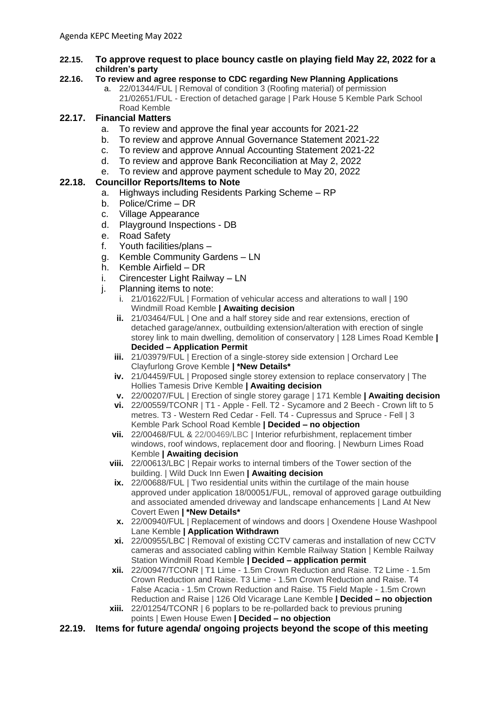#### **22.15. To approve request to place bouncy castle on playing field May 22, 2022 for a children's party**

### **22.16. To review and agree response to CDC regarding New Planning Applications**

a. 22/01344/FUL | Removal of condition 3 (Roofing material) of permission 21/02651/FUL - Erection of detached garage | Park House 5 Kemble Park School Road Kemble

## **22.17. Financial Matters**

- a. To review and approve the final year accounts for 2021-22
- b. To review and approve Annual Governance Statement 2021-22
- c. To review and approve Annual Accounting Statement 2021-22
- d. To review and approve Bank Reconciliation at May 2, 2022
- e. To review and approve payment schedule to May 20, 2022

## **22.18. Councillor Reports/Items to Note**

- a. Highways including Residents Parking Scheme RP
- b. Police/Crime DR
- c. Village Appearance
- d. Playground Inspections DB
- e. Road Safety
- f. Youth facilities/plans –
- g. Kemble Community Gardens LN
- h. Kemble Airfield DR
- i. Cirencester Light Railway LN
- j. Planning items to note:
	- i. 21/01622/FUL | Formation of vehicular access and alterations to wall | 190 Windmill Road Kemble **| Awaiting decision**
	- **ii.** 21/03464/FUL | One and a half storey side and rear extensions, erection of detached garage/annex, outbuilding extension/alteration with erection of single storey link to main dwelling, demolition of conservatory | 128 Limes Road Kemble **| Decided – Application Permit**
	- **iii.** 21/03979/FUL | Erection of a single-storey side extension | Orchard Lee Clayfurlong Grove Kemble **| \*New Details\***
	- **iv.** 21/04459/FUL | Proposed single storey extension to replace conservatory | The Hollies Tamesis Drive Kemble **| Awaiting decision**
	- **v.** 22/00207/FUL | Erection of single storey garage | 171 Kemble **| Awaiting decision**
	- **vi.** 22/00559/TCONR | T1 Apple Fell. T2 Sycamore and 2 Beech Crown lift to 5 metres. T3 - Western Red Cedar - Fell. T4 - Cupressus and Spruce - Fell | 3 Kemble Park School Road Kemble **| Decided – no objection**
	- **vii.** 22/00468/FUL & 22/00469/LBC | Interior refurbishment, replacement timber windows, roof windows, replacement door and flooring. | Newburn Limes Road Kemble **| Awaiting decision**
	- **viii.** 22/00613/LBC | Repair works to internal timbers of the Tower section of the building. | Wild Duck Inn Ewen **| Awaiting decision**
	- **ix.** 22/00688/FUL | Two residential units within the curtilage of the main house approved under application 18/00051/FUL, removal of approved garage outbuilding and associated amended driveway and landscape enhancements | Land At New Covert Ewen **| \*New Details\***
	- **x.** 22/00940/FUL | Replacement of windows and doors | Oxendene House Washpool Lane Kemble **| Application Withdrawn**
	- **xi.** 22/00955/LBC | Removal of existing CCTV cameras and installation of new CCTV cameras and associated cabling within Kemble Railway Station | Kemble Railway Station Windmill Road Kemble **| Decided – application permit**
	- **xii.** 22/00947/TCONR | T1 Lime 1.5m Crown Reduction and Raise. T2 Lime 1.5m Crown Reduction and Raise. T3 Lime - 1.5m Crown Reduction and Raise. T4 False Acacia - 1.5m Crown Reduction and Raise. T5 Field Maple - 1.5m Crown Reduction and Raise | 126 Old Vicarage Lane Kemble **| Decided – no objection**
	- **xiii.** 22/01254/TCONR | 6 poplars to be re-pollarded back to previous pruning points | Ewen House Ewen **| Decided – no objection**
- **22.19. Items for future agenda/ ongoing projects beyond the scope of this meeting**